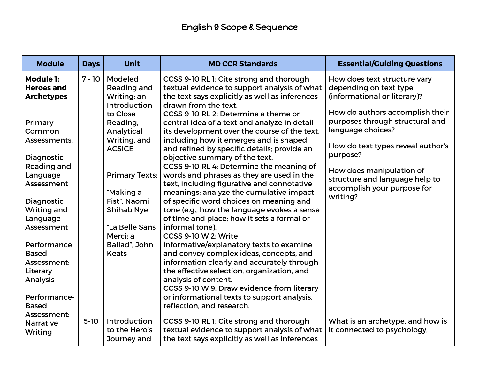| <b>Module</b>                                                              | <b>Days</b> | <b>Unit</b>                                                         | <b>MD CCR Standards</b>                                                                                                                                                                                                                               | <b>Essential/Guiding Questions</b>                                                                                           |
|----------------------------------------------------------------------------|-------------|---------------------------------------------------------------------|-------------------------------------------------------------------------------------------------------------------------------------------------------------------------------------------------------------------------------------------------------|------------------------------------------------------------------------------------------------------------------------------|
| <b>Module 1:</b><br><b>Heroes and</b><br><b>Archetypes</b>                 | $7 - 10$    | <b>Modeled</b><br>Reading and<br>Writing: an<br><b>Introduction</b> | CCSS 9-10 RL 1: Cite strong and thorough<br>textual evidence to support analysis of what<br>the text says explicitly as well as inferences<br>drawn from the text.                                                                                    | How does text structure vary<br>depending on text type<br>(informational or literary)?                                       |
| Primary<br>Common<br>Assessments:                                          |             | to Close<br>Reading,<br>Analytical<br>Writing, and                  | CCSS 9-10 RL 2: Determine a theme or<br>central idea of a text and analyze in detail<br>its development over the course of the text,<br>including how it emerges and is shaped                                                                        | How do authors accomplish their<br>purposes through structural and<br>language choices?<br>How do text types reveal author's |
| Diagnostic<br>Reading and<br>Language                                      |             | <b>ACSICE</b><br><b>Primary Texts:</b>                              | and refined by specific details; provide an<br>objective summary of the text.<br>CCSS 9-10 RL 4: Determine the meaning of<br>words and phrases as they are used in the                                                                                | purpose?<br>How does manipulation of<br>structure and language help to                                                       |
| Assessment<br>Diagnostic<br><b>Writing and</b>                             |             | "Making a<br>Fist", Naomi<br><b>Shihab Nye</b>                      | text, including figurative and connotative<br>meanings; analyze the cumulative impact<br>of specific word choices on meaning and<br>tone (e.g., how the language evokes a sense                                                                       | accomplish your purpose for<br>writing?                                                                                      |
| Language<br>Assessment                                                     |             | "La Belle Sans<br>Merci: a                                          | of time and place; how it sets a formal or<br>informal tone).<br>CCSS 9-10 W 2: Write                                                                                                                                                                 |                                                                                                                              |
| Performance-<br><b>Based</b><br>Assessment:<br>Literary<br><b>Analysis</b> |             | Ballad", John<br><b>Keats</b>                                       | informative/explanatory texts to examine<br>and convey complex ideas, concepts, and<br>information clearly and accurately through<br>the effective selection, organization, and<br>analysis of content.<br>CCSS 9-10 W 9: Draw evidence from literary |                                                                                                                              |
| Performance-<br><b>Based</b>                                               |             |                                                                     | or informational texts to support analysis,<br>reflection, and research.                                                                                                                                                                              |                                                                                                                              |
| Assessment:<br><b>Narrative</b><br>Writing                                 | $5-10$      | Introduction<br>to the Hero's<br>Journey and                        | CCSS 9-10 RL 1: Cite strong and thorough<br>textual evidence to support analysis of what<br>the text says explicitly as well as inferences                                                                                                            | What is an archetype, and how is<br>it connected to psychology,                                                              |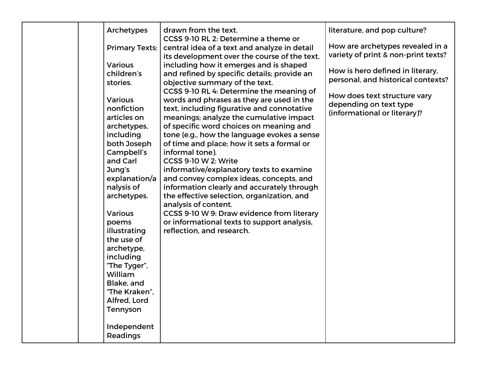| Archetypes<br><b>Primary Texts:</b><br><b>Various</b><br>children's<br>stories.<br><b>Various</b><br>nonfiction<br>articles on<br>archetypes,<br>including<br>both Joseph                                                                                                           | drawn from the text.<br>CCSS 9-10 RL 2: Determine a theme or<br>central idea of a text and analyze in detail<br>its development over the course of the text,<br>including how it emerges and is shaped<br>and refined by specific details; provide an<br>objective summary of the text.<br>CCSS 9-10 RL 4: Determine the meaning of<br>words and phrases as they are used in the<br>text, including figurative and connotative<br>meanings; analyze the cumulative impact<br>of specific word choices on meaning and<br>tone (e.g., how the language evokes a sense<br>of time and place; how it sets a formal or | literature, and pop culture?<br>How are archetypes revealed in a<br>variety of print & non-print texts?<br>How is hero defined in literary,<br>personal, and historical contexts?<br>How does text structure vary<br>depending on text type<br>(informational or literary)? |
|-------------------------------------------------------------------------------------------------------------------------------------------------------------------------------------------------------------------------------------------------------------------------------------|-------------------------------------------------------------------------------------------------------------------------------------------------------------------------------------------------------------------------------------------------------------------------------------------------------------------------------------------------------------------------------------------------------------------------------------------------------------------------------------------------------------------------------------------------------------------------------------------------------------------|-----------------------------------------------------------------------------------------------------------------------------------------------------------------------------------------------------------------------------------------------------------------------------|
| Campbell's<br>and Carl<br>Jung's<br>explanation/a<br>nalysis of<br>archetypes.<br><b>Various</b><br>poems<br>illustrating<br>the use of<br>archetype,<br>including<br>"The Tyger",<br>William<br>Blake, and<br>"The Kraken",<br>Alfred, Lord<br>Tennyson<br>Independent<br>Readings | informal tone).<br><b>CCSS 9-10 W 2: Write</b><br>informative/explanatory texts to examine<br>and convey complex ideas, concepts, and<br>information clearly and accurately through<br>the effective selection, organization, and<br>analysis of content.<br>CCSS 9-10 W 9: Draw evidence from literary<br>or informational texts to support analysis,<br>reflection, and research.                                                                                                                                                                                                                               |                                                                                                                                                                                                                                                                             |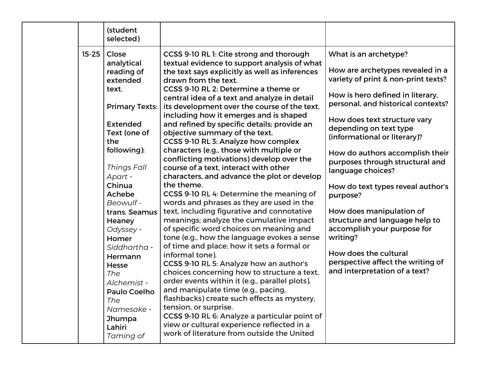|           | (student<br>selected)                                                                                                                                                                                                                    |                                                                                                                                                                                                                                                                                                                                                                                                                                                                                                                                                                                                                                                                                                                                                                                                                                                                                                     |                                                                                                                                                                                                                                                                                                               |
|-----------|------------------------------------------------------------------------------------------------------------------------------------------------------------------------------------------------------------------------------------------|-----------------------------------------------------------------------------------------------------------------------------------------------------------------------------------------------------------------------------------------------------------------------------------------------------------------------------------------------------------------------------------------------------------------------------------------------------------------------------------------------------------------------------------------------------------------------------------------------------------------------------------------------------------------------------------------------------------------------------------------------------------------------------------------------------------------------------------------------------------------------------------------------------|---------------------------------------------------------------------------------------------------------------------------------------------------------------------------------------------------------------------------------------------------------------------------------------------------------------|
| $15 - 25$ | Close<br>analytical<br>reading of<br>extended<br>text.<br><b>Primary Texts:</b><br><b>Extended</b><br>Text (one of<br>the<br>following):                                                                                                 | CCSS 9-10 RL 1: Cite strong and thorough<br>textual evidence to support analysis of what<br>the text says explicitly as well as inferences<br>drawn from the text.<br>CCSS 9-10 RL 2: Determine a theme or<br>central idea of a text and analyze in detail<br>its development over the course of the text,<br>including how it emerges and is shaped<br>and refined by specific details; provide an<br>objective summary of the text.<br>CCSS 9-10 RL 3: Analyze how complex<br>characters (e.g., those with multiple or                                                                                                                                                                                                                                                                                                                                                                            | What is an archetype?<br>How are archetypes revealed in a<br>variety of print & non-print texts?<br>How is hero defined in literary,<br>personal, and historical contexts?<br>How does text structure vary<br>depending on text type<br>(informational or literary)?<br>How do authors accomplish their       |
|           | Things Fall<br>Apart -<br>Chinua<br>Achebe<br>Beowulf -<br>trans. Seamus<br>Heaney<br>Odyssey -<br>Homer<br>Siddhartha -<br>Hermann<br>Hesse<br>The<br>Alchemist -<br>Paulo Coelho<br>The<br>Namesake -<br>Jhumpa<br>Lahiri<br>Taming of | conflicting motivations) develop over the<br>course of a text, interact with other<br>characters, and advance the plot or develop<br>the theme.<br>CCSS 9-10 RL 4: Determine the meaning of<br>words and phrases as they are used in the<br>text, including figurative and connotative<br>meanings; analyze the cumulative impact<br>of specific word choices on meaning and<br>tone (e.g., how the language evokes a sense<br>of time and place; how it sets a formal or<br>informal tone).<br>CCSS 9-10 RL 5: Analyze how an author's<br>choices concerning how to structure a text,<br>order events within it (e.g., parallel plots),<br>and manipulate time (e.g., pacing,<br>flashbacks) create such effects as mystery,<br>tension, or surprise.<br>CCSS 9-10 RL 6: Analyze a particular point of<br>view or cultural experience reflected in a<br>work of literature from outside the United | purposes through structural and<br>language choices?<br>How do text types reveal author's<br>purpose?<br>How does manipulation of<br>structure and language help to<br>accomplish your purpose for<br>writing?<br>How does the cultural<br>perspective affect the writing of<br>and interpretation of a text? |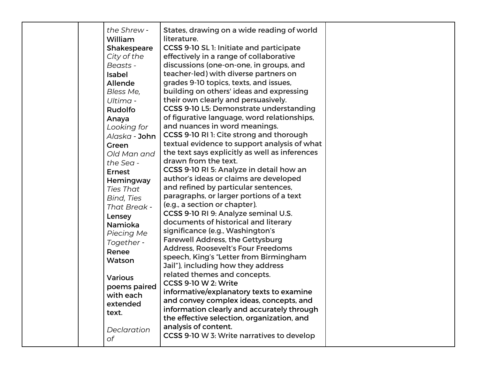| the Shrew -<br><b>William</b><br><b>Shakespeare</b><br>City of the<br>Beasts -<br><b>Isabel</b><br><b>Allende</b><br>Bless Me,<br>Ultima -<br><b>Rudolfo</b><br>Anaya<br>Looking for<br>Alaska - <b>John</b><br>Green<br>Old Man and<br>the Sea -<br><b>Ernest</b><br>Hemingway<br>Ties That<br>Bind, Ties<br>That Break -<br>Lensey<br>Namioka<br>Piecing Me<br>Together -<br>Renee<br>Watson<br><b>Various</b><br>poems paired<br>with each<br>extended<br>text.<br>Declaration | States, drawing on a wide reading of world<br>literature.<br>CCSS 9-10 SL 1: Initiate and participate<br>effectively in a range of collaborative<br>discussions (one-on-one, in groups, and<br>teacher-led) with diverse partners on<br>grades 9-10 topics, texts, and issues,<br>building on others' ideas and expressing<br>their own clearly and persuasively.<br>CCSS 9-10 L5: Demonstrate understanding<br>of figurative language, word relationships,<br>and nuances in word meanings.<br>CCSS 9-10 RI 1: Cite strong and thorough<br>textual evidence to support analysis of what<br>the text says explicitly as well as inferences<br>drawn from the text.<br>CCSS 9-10 RI 5: Analyze in detail how an<br>author's ideas or claims are developed<br>and refined by particular sentences,<br>paragraphs, or larger portions of a text<br>(e.g., a section or chapter).<br>CCSS 9-10 RI 9: Analyze seminal U.S.<br>documents of historical and literary<br>significance (e.g., Washington's<br><b>Farewell Address, the Gettysburg</b><br><b>Address, Roosevelt's Four Freedoms</b><br>speech, King's "Letter from Birmingham<br>Jail"), including how they address<br>related themes and concepts.<br>CCSS 9-10 W 2: Write<br>informative/explanatory texts to examine<br>and convey complex ideas, concepts, and<br>information clearly and accurately through<br>the effective selection, organization, and<br>analysis of content. |  |
|-----------------------------------------------------------------------------------------------------------------------------------------------------------------------------------------------------------------------------------------------------------------------------------------------------------------------------------------------------------------------------------------------------------------------------------------------------------------------------------|----------------------------------------------------------------------------------------------------------------------------------------------------------------------------------------------------------------------------------------------------------------------------------------------------------------------------------------------------------------------------------------------------------------------------------------------------------------------------------------------------------------------------------------------------------------------------------------------------------------------------------------------------------------------------------------------------------------------------------------------------------------------------------------------------------------------------------------------------------------------------------------------------------------------------------------------------------------------------------------------------------------------------------------------------------------------------------------------------------------------------------------------------------------------------------------------------------------------------------------------------------------------------------------------------------------------------------------------------------------------------------------------------------------------------------------------|--|
| оf                                                                                                                                                                                                                                                                                                                                                                                                                                                                                | CCSS 9-10 W 3: Write narratives to develop                                                                                                                                                                                                                                                                                                                                                                                                                                                                                                                                                                                                                                                                                                                                                                                                                                                                                                                                                                                                                                                                                                                                                                                                                                                                                                                                                                                                   |  |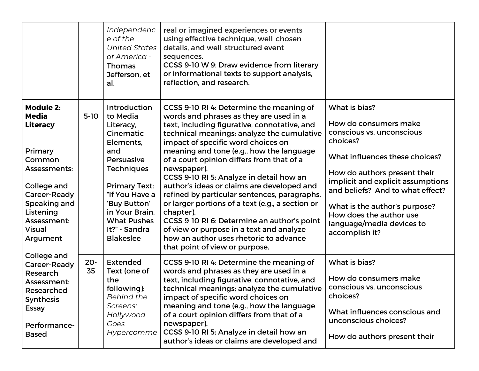|                                                                                                                                                                                           |              | Independenc<br>e of the<br><b>United States</b><br>of America -<br><b>Thomas</b><br>Jefferson, et<br>al.                                                                                                                                         | real or imagined experiences or events<br>using effective technique, well-chosen<br>details, and well-structured event<br>sequences.<br>CCSS 9-10 W 9: Draw evidence from literary<br>or informational texts to support analysis,<br>reflection, and research.                                                                                                                                                                                                                                                                                                                                                                                                                                                    |                                                                                                                                                                                                                                                                                                                                       |
|-------------------------------------------------------------------------------------------------------------------------------------------------------------------------------------------|--------------|--------------------------------------------------------------------------------------------------------------------------------------------------------------------------------------------------------------------------------------------------|-------------------------------------------------------------------------------------------------------------------------------------------------------------------------------------------------------------------------------------------------------------------------------------------------------------------------------------------------------------------------------------------------------------------------------------------------------------------------------------------------------------------------------------------------------------------------------------------------------------------------------------------------------------------------------------------------------------------|---------------------------------------------------------------------------------------------------------------------------------------------------------------------------------------------------------------------------------------------------------------------------------------------------------------------------------------|
| <b>Module 2:</b><br><b>Media</b><br><b>Literacy</b><br>Primary<br>Common<br>Assessments:<br>College and<br>Career-Ready<br>Speaking and<br>Listening<br>Assessment:<br>Visual<br>Argument | $5-10$       | Introduction<br>to Media<br>Literacy,<br>Cinematic<br>Elements,<br>and<br>Persuasive<br><b>Techniques</b><br><b>Primary Text:</b><br>"If You Have a<br>'Buy Button'<br>in Your Brain,<br><b>What Pushes</b><br>It?" - Sandra<br><b>Blakeslee</b> | CCSS 9-10 RI 4: Determine the meaning of<br>words and phrases as they are used in a<br>text, including figurative, connotative, and<br>technical meanings; analyze the cumulative<br>impact of specific word choices on<br>meaning and tone (e.g., how the language<br>of a court opinion differs from that of a<br>newspaper).<br>CCSS 9-10 RI 5: Analyze in detail how an<br>author's ideas or claims are developed and<br>refined by particular sentences, paragraphs,<br>or larger portions of a text (e.g., a section or<br>chapter).<br>CCSS 9-10 RI 6: Determine an author's point<br>of view or purpose in a text and analyze<br>how an author uses rhetoric to advance<br>that point of view or purpose. | What is bias?<br>How do consumers make<br>conscious vs. unconscious<br>choices?<br>What influences these choices?<br>How do authors present their<br>implicit and explicit assumptions<br>and beliefs? And to what effect?<br>What is the author's purpose?<br>How does the author use<br>language/media devices to<br>accomplish it? |
| College and<br>Career-Ready<br>Research<br>Assessment:<br>Researched<br><b>Synthesis</b><br><b>Essay</b><br>Performance-<br><b>Based</b>                                                  | $20 -$<br>35 | <b>Extended</b><br>Text (one of<br>the<br>following):<br><b>Behind the</b><br>Screens:<br>Hollywood<br>Goes<br>Hypercomme                                                                                                                        | CCSS 9-10 RI 4: Determine the meaning of<br>words and phrases as they are used in a<br>text, including figurative, connotative, and<br>technical meanings; analyze the cumulative<br>impact of specific word choices on<br>meaning and tone (e.g., how the language<br>of a court opinion differs from that of a<br>newspaper).<br>CCSS 9-10 RI 5: Analyze in detail how an<br>author's ideas or claims are developed and                                                                                                                                                                                                                                                                                         | What is bias?<br>How do consumers make<br>conscious vs. unconscious<br>choices?<br>What influences conscious and<br>unconscious choices?<br>How do authors present their                                                                                                                                                              |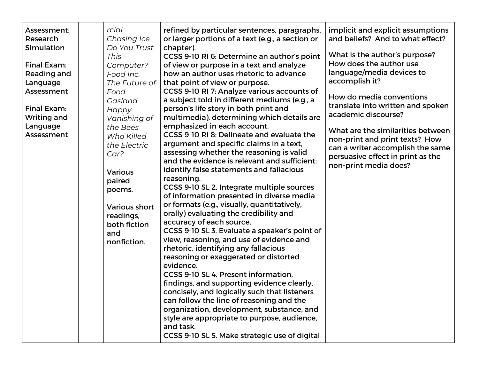| Assessment:<br>Research<br>Simulation<br>Final Exam:<br>Reading and<br>Language<br>Assessment<br>Final Exam:<br>Writing and<br>Language<br>Assessment | rcial<br>Chasing Ice<br>Do You Trust<br><b>This</b><br>Computer?<br>Food Inc.<br>The Future of<br>Food<br>Gasland<br>Happy<br>Vanishing of<br>the Bees<br>Who Killed<br>the Electric<br>Car?<br><b>Various</b><br>paired<br>poems. | refined by particular sentences, paragraphs,<br>or larger portions of a text (e.g., a section or<br>chapter).<br>CCSS 9-10 RI 6: Determine an author's point<br>of view or purpose in a text and analyze<br>how an author uses rhetoric to advance<br>that point of view or purpose.<br>CCSS 9-10 RI 7: Analyze various accounts of<br>a subject told in different mediums (e.g., a<br>person's life story in both print and<br>multimedia), determining which details are<br>emphasized in each account.<br>CCSS 9-10 RI 8: Delineate and evaluate the<br>argument and specific claims in a text,<br>assessing whether the reasoning is valid<br>and the evidence is relevant and sufficient;<br>identify false statements and fallacious<br>reasoning.<br>CCSS 9-10 SL 2. Integrate multiple sources<br>of information presented in diverse media<br>or formats (e.g., visually, quantitatively,<br>orally) evaluating the credibility and<br>accuracy of each source.<br>CCSS 9-10 SL 3. Evaluate a speaker's point of<br>view, reasoning, and use of evidence and<br>rhetoric, identifying any fallacious<br>reasoning or exaggerated or distorted<br>evidence.<br>CCSS 9-10 SL 4. Present information,<br>findings, and supporting evidence clearly,<br>concisely, and logically such that listeners<br>can follow the line of reasoning and the<br>organization, development, substance, and<br>style are appropriate to purpose, audience,<br>and task.<br>CCSS 9-10 SL 5. Make strategic use of digital | implicit and explicit assumptions<br>and beliefs? And to what effect?<br>What is the author's purpose?<br>How does the author use<br>language/media devices to<br>accomplish it?<br>How do media conventions<br>translate into written and spoken<br>academic discourse?<br>What are the similarities between<br>non-print and print texts? How<br>can a writer accomplish the same<br>persuasive effect in print as the<br>non-print media does? |
|-------------------------------------------------------------------------------------------------------------------------------------------------------|------------------------------------------------------------------------------------------------------------------------------------------------------------------------------------------------------------------------------------|-----------------------------------------------------------------------------------------------------------------------------------------------------------------------------------------------------------------------------------------------------------------------------------------------------------------------------------------------------------------------------------------------------------------------------------------------------------------------------------------------------------------------------------------------------------------------------------------------------------------------------------------------------------------------------------------------------------------------------------------------------------------------------------------------------------------------------------------------------------------------------------------------------------------------------------------------------------------------------------------------------------------------------------------------------------------------------------------------------------------------------------------------------------------------------------------------------------------------------------------------------------------------------------------------------------------------------------------------------------------------------------------------------------------------------------------------------------------------------------------------------------------|---------------------------------------------------------------------------------------------------------------------------------------------------------------------------------------------------------------------------------------------------------------------------------------------------------------------------------------------------------------------------------------------------------------------------------------------------|
|                                                                                                                                                       | <b>Various short</b><br>readings,<br>both fiction<br>and<br>nonfiction.                                                                                                                                                            |                                                                                                                                                                                                                                                                                                                                                                                                                                                                                                                                                                                                                                                                                                                                                                                                                                                                                                                                                                                                                                                                                                                                                                                                                                                                                                                                                                                                                                                                                                                 |                                                                                                                                                                                                                                                                                                                                                                                                                                                   |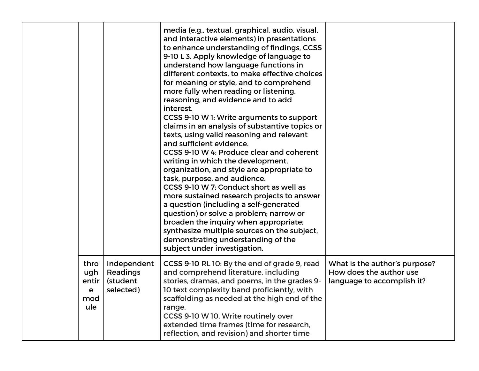|                                         |                                                  | media (e.g., textual, graphical, audio, visual,<br>and interactive elements) in presentations<br>to enhance understanding of findings, CCSS<br>9-10 L 3. Apply knowledge of language to<br>understand how language functions in<br>different contexts, to make effective choices<br>for meaning or style, and to comprehend<br>more fully when reading or listening.<br>reasoning, and evidence and to add<br>interest.<br>CCSS 9-10 W 1: Write arguments to support<br>claims in an analysis of substantive topics or<br>texts, using valid reasoning and relevant<br>and sufficient evidence.<br>CCSS 9-10 W 4: Produce clear and coherent<br>writing in which the development,<br>organization, and style are appropriate to<br>task, purpose, and audience.<br>CCSS 9-10 W 7: Conduct short as well as<br>more sustained research projects to answer<br>a question (including a self-generated<br>question) or solve a problem; narrow or<br>broaden the inquiry when appropriate;<br>synthesize multiple sources on the subject,<br>demonstrating understanding of the<br>subject under investigation. |                                                                                        |
|-----------------------------------------|--------------------------------------------------|-------------------------------------------------------------------------------------------------------------------------------------------------------------------------------------------------------------------------------------------------------------------------------------------------------------------------------------------------------------------------------------------------------------------------------------------------------------------------------------------------------------------------------------------------------------------------------------------------------------------------------------------------------------------------------------------------------------------------------------------------------------------------------------------------------------------------------------------------------------------------------------------------------------------------------------------------------------------------------------------------------------------------------------------------------------------------------------------------------------|----------------------------------------------------------------------------------------|
| thro<br>ugh<br>entir<br>е<br>mod<br>ule | Independent<br>Readings<br>(student<br>selected) | CCSS 9-10 RL 10: By the end of grade 9, read<br>and comprehend literature, including<br>stories, dramas, and poems, in the grades 9-<br>10 text complexity band proficiently, with<br>scaffolding as needed at the high end of the<br>range.<br>CCSS 9-10 W 10. Write routinely over<br>extended time frames (time for research,<br>reflection, and revision) and shorter time                                                                                                                                                                                                                                                                                                                                                                                                                                                                                                                                                                                                                                                                                                                              | What is the author's purpose?<br>How does the author use<br>language to accomplish it? |